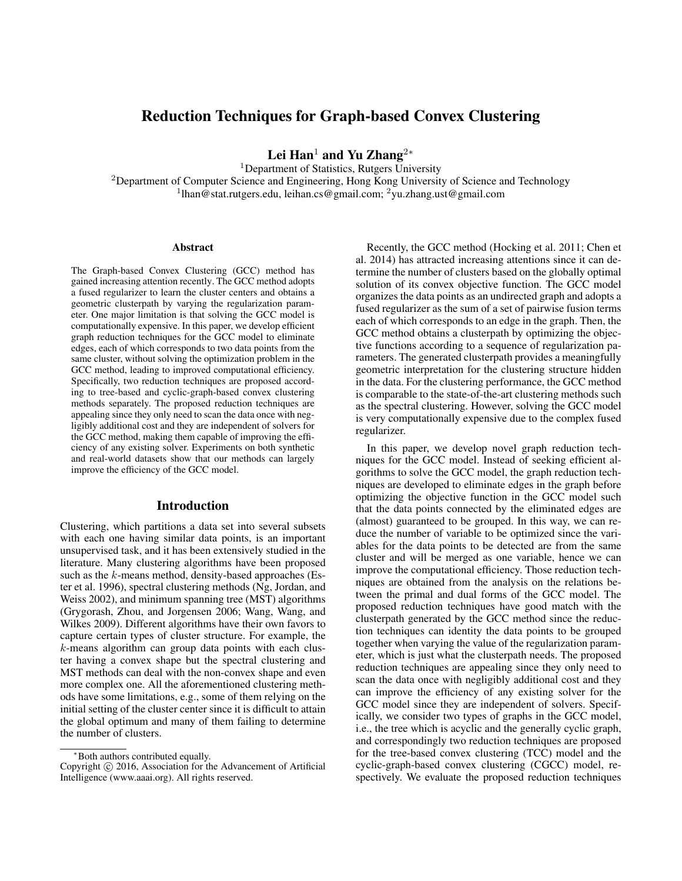# Reduction Techniques for Graph-based Convex Clustering

Lei Han<sup>1</sup> and Yu Zhang<sup>2</sup><sup>∗</sup>

<sup>1</sup>Department of Statistics, Rutgers University <sup>2</sup>Department of Computer Science and Engineering, Hong Kong University of Science and Technology <sup>1</sup>lhan@stat.rutgers.edu, leihan.cs@gmail.com; <sup>2</sup>yu.zhang.ust@gmail.com

#### Abstract

The Graph-based Convex Clustering (GCC) method has gained increasing attention recently. The GCC method adopts a fused regularizer to learn the cluster centers and obtains a geometric clusterpath by varying the regularization parameter. One major limitation is that solving the GCC model is computationally expensive. In this paper, we develop efficient graph reduction techniques for the GCC model to eliminate edges, each of which corresponds to two data points from the same cluster, without solving the optimization problem in the GCC method, leading to improved computational efficiency. Specifically, two reduction techniques are proposed according to tree-based and cyclic-graph-based convex clustering methods separately. The proposed reduction techniques are appealing since they only need to scan the data once with negligibly additional cost and they are independent of solvers for the GCC method, making them capable of improving the efficiency of any existing solver. Experiments on both synthetic and real-world datasets show that our methods can largely improve the efficiency of the GCC model.

#### Introduction

Clustering, which partitions a data set into several subsets with each one having similar data points, is an important unsupervised task, and it has been extensively studied in the literature. Many clustering algorithms have been proposed such as the  $k$ -means method, density-based approaches (Ester et al. 1996), spectral clustering methods (Ng, Jordan, and Weiss 2002), and minimum spanning tree (MST) algorithms (Grygorash, Zhou, and Jorgensen 2006; Wang, Wang, and Wilkes 2009). Different algorithms have their own favors to capture certain types of cluster structure. For example, the k-means algorithm can group data points with each cluster having a convex shape but the spectral clustering and MST methods can deal with the non-convex shape and even more complex one. All the aforementioned clustering methods have some limitations, e.g., some of them relying on the initial setting of the cluster center since it is difficult to attain the global optimum and many of them failing to determine the number of clusters.

Recently, the GCC method (Hocking et al. 2011; Chen et al. 2014) has attracted increasing attentions since it can determine the number of clusters based on the globally optimal solution of its convex objective function. The GCC model organizes the data points as an undirected graph and adopts a fused regularizer as the sum of a set of pairwise fusion terms each of which corresponds to an edge in the graph. Then, the GCC method obtains a clusterpath by optimizing the objective functions according to a sequence of regularization parameters. The generated clusterpath provides a meaningfully geometric interpretation for the clustering structure hidden in the data. For the clustering performance, the GCC method is comparable to the state-of-the-art clustering methods such as the spectral clustering. However, solving the GCC model is very computationally expensive due to the complex fused regularizer.

In this paper, we develop novel graph reduction techniques for the GCC model. Instead of seeking efficient algorithms to solve the GCC model, the graph reduction techniques are developed to eliminate edges in the graph before optimizing the objective function in the GCC model such that the data points connected by the eliminated edges are (almost) guaranteed to be grouped. In this way, we can reduce the number of variable to be optimized since the variables for the data points to be detected are from the same cluster and will be merged as one variable, hence we can improve the computational efficiency. Those reduction techniques are obtained from the analysis on the relations between the primal and dual forms of the GCC model. The proposed reduction techniques have good match with the clusterpath generated by the GCC method since the reduction techniques can identity the data points to be grouped together when varying the value of the regularization parameter, which is just what the clusterpath needs. The proposed reduction techniques are appealing since they only need to scan the data once with negligibly additional cost and they can improve the efficiency of any existing solver for the GCC model since they are independent of solvers. Specifically, we consider two types of graphs in the GCC model, i.e., the tree which is acyclic and the generally cyclic graph, and correspondingly two reduction techniques are proposed for the tree-based convex clustering (TCC) model and the cyclic-graph-based convex clustering (CGCC) model, respectively. We evaluate the proposed reduction techniques

<sup>∗</sup>Both authors contributed equally.

Copyright © 2016, Association for the Advancement of Artificial Intelligence (www.aaai.org). All rights reserved.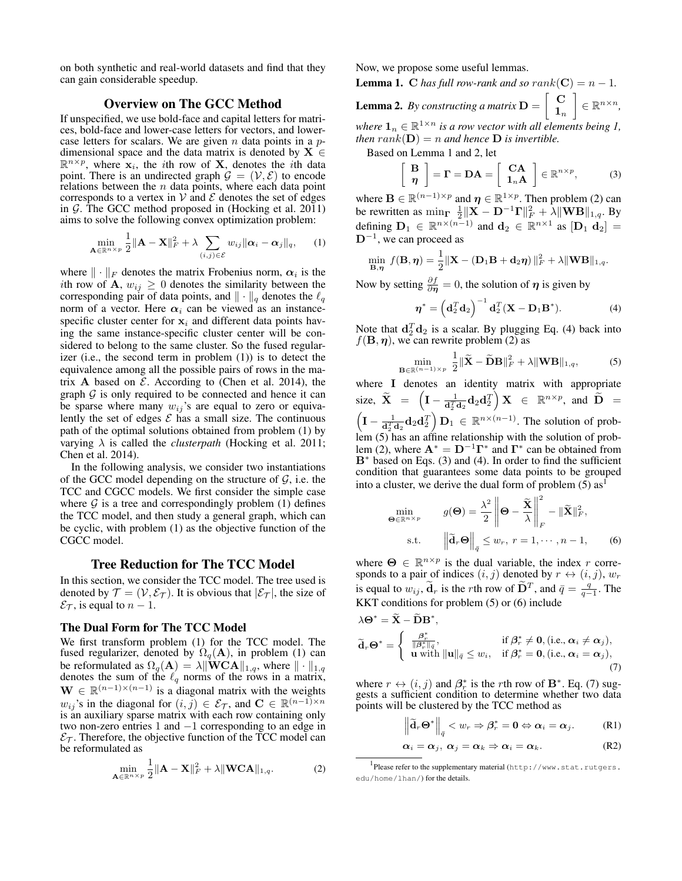on both synthetic and real-world datasets and find that they can gain considerable speedup.

## Overview on The GCC Method

If unspecified, we use bold-face and capital letters for matrices, bold-face and lower-case letters for vectors, and lowercase letters for scalars. We are given  $n$  data points in a  $p$ dimensional space and the data matrix is denoted by  $X \in$  $\mathbb{R}^{n \times p}$ , where  $\mathbf{x}_i$ , the *i*th row of **X**, denotes the *i*th data point. There is an undirected graph  $\mathcal{G} = (\mathcal{V}, \mathcal{E})$  to encode relations between the  $n$  data points, where each data point corresponds to a vertex in  $V$  and  $\mathcal E$  denotes the set of edges in  $G$ . The GCC method proposed in (Hocking et al. 2011) aims to solve the following convex optimization problem:

$$
\min_{\mathbf{A}\in\mathbb{R}^{n\times p}}\frac{1}{2}\|\mathbf{A}-\mathbf{X}\|_{F}^{2}+\lambda\sum_{(i,j)\in\mathcal{E}}w_{ij}\|\boldsymbol{\alpha}_{i}-\boldsymbol{\alpha}_{j}\|_{q},\qquad(1)
$$

where  $\|\cdot\|_F$  denotes the matrix Frobenius norm,  $\alpha_i$  is the ith row of **A**,  $w_{ij} \geq 0$  denotes the similarity between the corresponding pair of data points, and  $\|\cdot\|_q$  denotes the  $\ell_q$ norm of a vector. Here  $\alpha_i$  can be viewed as an instancespecific cluster center for  $x_i$  and different data points having the same instance-specific cluster center will be considered to belong to the same cluster. So the fused regularizer (i.e., the second term in problem (1)) is to detect the equivalence among all the possible pairs of rows in the matrix A based on  $\mathcal E$ . According to (Chen et al. 2014), the graph  $G$  is only required to be connected and hence it can be sparse where many  $w_{ij}$ 's are equal to zero or equivalently the set of edges  $\mathcal E$  has a small size. The continuous path of the optimal solutions obtained from problem (1) by varying  $\lambda$  is called the *clusterpath* (Hocking et al. 2011; Chen et al. 2014).

In the following analysis, we consider two instantiations of the GCC model depending on the structure of  $G$ , i.e. the TCC and CGCC models. We first consider the simple case where  $\mathcal G$  is a tree and correspondingly problem (1) defines the TCC model, and then study a general graph, which can be cyclic, with problem (1) as the objective function of the CGCC model.

#### Tree Reduction for The TCC Model

In this section, we consider the TCC model. The tree used is denoted by  $\mathcal{T} = (\mathcal{V}, \mathcal{E}_{\mathcal{T}})$ . It is obvious that  $|\mathcal{E}_{\mathcal{T}}|$ , the size of  $\mathcal{E}_{\mathcal{T}}$ , is equal to  $n-1$ .

#### The Dual Form for The TCC Model

We first transform problem (1) for the TCC model. The fused regularizer, denoted by  $\Omega_q(A)$ , in problem (1) can be reformulated as  $\Omega_q(\mathbf{A}) = \lambda \|\mathbf{WCA}\|_{1,q}$ , where  $\|\cdot\|_{1,q}$ denotes the sum of the  $\ell_q$  norms of the rows in a matrix,  $\mathbf{W} \in \mathbb{R}^{(n-1)\times(n-1)}$  is a diagonal matrix with the weights  $w_{ij}$ 's in the diagonal for  $(i, j) \in \mathcal{E}_{\mathcal{T}}$ , and  $\mathbf{C} \in \mathbb{R}^{(n-1)\times n}$ is an auxiliary sparse matrix with each row containing only two non-zero entries 1 and −1 corresponding to an edge in  $\mathcal{E}_{\mathcal{T}}$ . Therefore, the objective function of the TCC model can be reformulated as

$$
\min_{\mathbf{A}\in\mathbb{R}^{n\times p}}\frac{1}{2}\|\mathbf{A}-\mathbf{X}\|_{F}^{2}+\lambda\|\mathbf{WCA}\|_{1,q}.\tag{2}
$$

Now, we propose some useful lemmas.

**Lemma 1.** C has full row-rank and so  $rank(C) = n - 1$ .

**Lemma 2.** *By constructing a matrix*  $D = \begin{bmatrix} C \\ D \end{bmatrix}$  $\mathbf{1}_n$  $\Big] \in \mathbb{R}^{n \times n},$ where  $\mathbf{1}_n \in \mathbb{R}^{1 \times n}$  *is a row vector with all elements being 1, then*  $rank(D) = n$  *and hence* **D** *is invertible.* 

Based on Lemma 1 and 2, let

 $\lceil$ 

$$
\frac{\mathbf{B}}{\eta} \bigg] = \mathbf{\Gamma} = \mathbf{D}\mathbf{A} = \left[ \begin{array}{c} \mathbf{C}\mathbf{A} \\ \mathbf{1}_n \mathbf{A} \end{array} \right] \in \mathbb{R}^{n \times p}, \tag{3}
$$

where  $\mathbf{B} \in \mathbb{R}^{(n-1)\times p}$  and  $\boldsymbol{\eta} \in \mathbb{R}^{1 \times p}$ . Then problem (2) can be rewritten as  $\min_{\Gamma} \frac{1}{2} ||\mathbf{X} - \mathbf{D}^{-1} \mathbf{\Gamma}||_F^2 + \lambda ||\mathbf{W} \mathbf{B}||_{1,q}$ . By defining  $D_1 \in \mathbb{R}^{n \times (n-1)}$  and  $d_2 \in \mathbb{R}^{n \times 1}$  as  $[D_1 d_2] =$  $D^{-1}$ , we can proceed as

$$
\min_{\mathbf{B},\boldsymbol{\eta}} f(\mathbf{B},\boldsymbol{\eta}) = \frac{1}{2} \|\mathbf{X} - (\mathbf{D}_1 \mathbf{B} + \mathbf{d}_2 \boldsymbol{\eta})\|_F^2 + \lambda \|\mathbf{W} \mathbf{B}\|_{1,q}.
$$

Now by setting  $\frac{\partial f}{\partial \eta} = 0$ , the solution of  $\eta$  is given by

$$
\boldsymbol{\eta}^* = \left(\mathbf{d}_2^T \mathbf{d}_2\right)^{-1} \mathbf{d}_2^T (\mathbf{X} - \mathbf{D}_1 \mathbf{B}^*).
$$
 (4)

Note that  $\mathbf{d}_2^T \mathbf{d}_2$  is a scalar. By plugging Eq. (4) back into  $f(\mathbf{B}, \boldsymbol{\eta})$ , we can rewrite problem (2) as

$$
\min_{\mathbf{B}\in\mathbb{R}^{(n-1)\times p}}\frac{1}{2}\|\widetilde{\mathbf{X}}-\widetilde{\mathbf{D}}\mathbf{B}\|_{F}^{2}+\lambda\|\mathbf{W}\mathbf{B}\|_{1,q},
$$
\n(5)

where I denotes an identity matrix with appropriate size,  $\widetilde{\mathbf{X}} = \left(\mathbf{I} - \frac{1}{\mathbf{d}_2^T \mathbf{d}_2} \mathbf{d}_2 \mathbf{d}_2^T\right) \mathbf{X} \in \mathbb{R}^{n \times p}$ , and  $\widetilde{\mathbf{D}} =$  $\left(\mathbf{I} - \frac{1}{\mathbf{d}_{\perp}^T \mathbf{d}_2} \mathbf{d}_2 \mathbf{d}_2^T\right) \mathbf{D}_1 \in \mathbb{R}^{n \times (n-1)}$ . The solution of problem (5) has an affine relationship with the solution of problem (2), where  $\mathbf{A}^* = \mathbf{D}^{-1} \mathbf{\Gamma}^*$  and  $\mathbf{\Gamma}^*$  can be obtained from B<sup>∗</sup> based on Eqs. (3) and (4). In order to find the sufficient condition that guarantees some data points to be grouped into a cluster, we derive the dual form of problem  $(5)$  as<sup>1</sup>

$$
\min_{\mathbf{\Theta} \in \mathbb{R}^{n \times p}} \qquad g(\mathbf{\Theta}) = \frac{\lambda^2}{2} \left\| \mathbf{\Theta} - \frac{\widetilde{\mathbf{X}}}{\lambda} \right\|_F^2 - \|\widetilde{\mathbf{X}}\|_F^2,
$$
\n
$$
\text{s.t.} \qquad \left\| \widetilde{\mathbf{d}}_r \mathbf{\Theta} \right\|_{\widetilde{q}} \le w_r, \ r = 1, \cdots, n - 1, \qquad (6)
$$

where  $\Theta \in \mathbb{R}^{n \times p}$  is the dual variable, the index r corresponds to a pair of indices  $(i, j)$  denoted by  $r \leftrightarrow (i, j)$ ,  $w_r$ is equal to  $w_{ij}$ ,  $\tilde{d}_r$  is the rth row of  $\tilde{D}^T$ , and  $\bar{q} = \frac{q}{q-1}$ . The KKT conditions for problem (5) or (6) include

$$
\lambda \Theta^* = \widetilde{\mathbf{X}} - \widetilde{\mathbf{D}} \mathbf{B}^*,
$$
  
\n
$$
\widetilde{\mathbf{d}}_r \Theta^* = \begin{cases}\n\frac{\beta_r^*}{\|\beta_r^*\|_q}, & \text{if } \beta_r^* \neq \mathbf{0}, (\text{i.e., } \alpha_i \neq \alpha_j), \\
\mathbf{u} \text{ with } \|\mathbf{u}\|_{\bar{q}} \leq w_i, & \text{if } \beta_r^* = \mathbf{0}, (\text{i.e., } \alpha_i = \alpha_j),\n\end{cases}
$$
\n(7)

where  $r \leftrightarrow (i, j)$  and  $\beta_r^*$  is the rth row of  $\mathbf{B}^*$ . Eq. (7) suggests a sufficient condition to determine whether two data points will be clustered by the TCC method as

$$
\left\|\widetilde{\mathbf{d}}_{r}\mathbf{\Theta}^{*}\right\|_{\overline{q}} < w_{r} \Rightarrow \beta_{r}^{*} = \mathbf{0} \Leftrightarrow \boldsymbol{\alpha}_{i} = \boldsymbol{\alpha}_{j}.
$$
 (R1)

$$
\alpha_i = \alpha_j, \ \alpha_j = \alpha_k \Rightarrow \alpha_i = \alpha_k. \tag{R2}
$$

<sup>1</sup> Please refer to the supplementary material (http://www.stat.rutgers. edu/home/lhan/) for the details.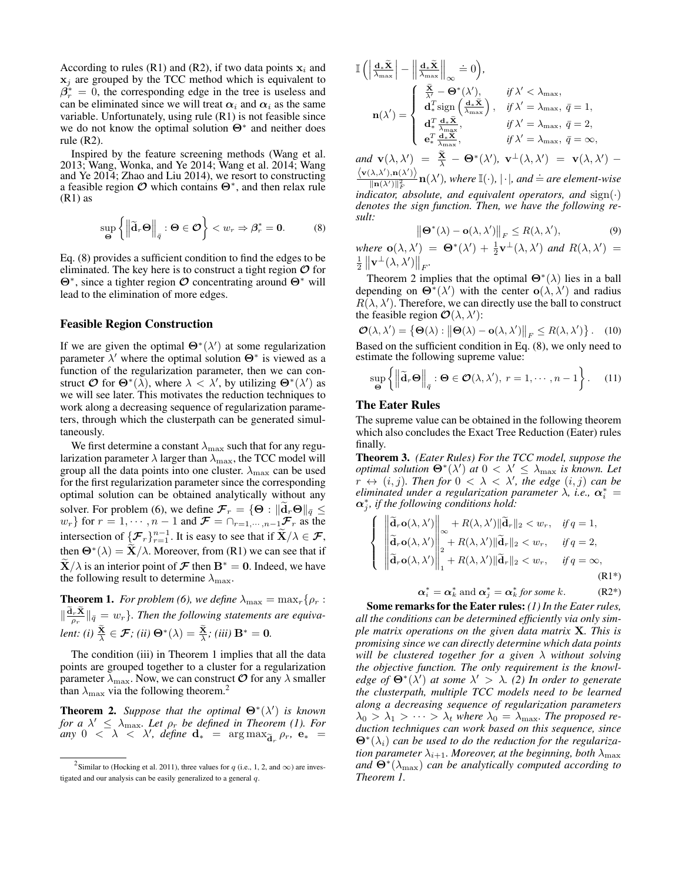According to rules (R1) and (R2), if two data points  $x_i$  and  $x_i$  are grouped by the TCC method which is equivalent to  $\beta_r^* = 0$ , the corresponding edge in the tree is useless and can be eliminated since we will treat  $\alpha_i$  and  $\alpha_i$  as the same variable. Unfortunately, using rule (R1) is not feasible since we do not know the optimal solution  $Θ^*$  and neither does rule (R2).

Inspired by the feature screening methods (Wang et al. 2013; Wang, Wonka, and Ye 2014; Wang et al. 2014; Wang and Ye 2014; Zhao and Liu 2014), we resort to constructing a feasible region  $\mathcal O$  which contains  $\Theta^*$ , and then relax rule (R1) as

$$
\sup_{\Theta} \left\{ \left\| \widetilde{\mathbf{d}}_r \Theta \right\|_{\bar{q}} : \Theta \in \mathcal{O} \right\} < w_r \Rightarrow \beta_r^* = 0. \tag{8}
$$

Eq. (8) provides a sufficient condition to find the edges to be eliminated. The key here is to construct a tight region  $\mathcal O$  for Θ<sup>∗</sup> , since a tighter region O concentrating around Θ<sup>∗</sup> will lead to the elimination of more edges.

### Feasible Region Construction

If we are given the optimal  $\Theta^*(\lambda')$  at some regularization parameter  $\lambda'$  where the optimal solution  $\Theta^*$  is viewed as a function of the regularization parameter, then we can construct  $O$  for  $\Theta^*(\lambda)$ , where  $\lambda < \lambda'$ , by utilizing  $\Theta^*(\lambda')$  as we will see later. This motivates the reduction techniques to work along a decreasing sequence of regularization parameters, through which the clusterpath can be generated simultaneously.

We first determine a constant  $\lambda_{\text{max}}$  such that for any regularization parameter  $\lambda$  larger than  $\lambda_{\text{max}}$ , the TCC model will group all the data points into one cluster.  $\lambda_{\text{max}}$  can be used for the first regularization parameter since the corresponding optimal solution can be obtained analytically without any solver. For problem (6), we define  $\mathcal{F}_r = \{ \Theta : ||\mathbf{d}_r \Theta||_{\bar{q}} \leq w_r \}$  for  $r = 1, \dots, n - 1$  and  $\mathcal{F} = \bigcap_{r=1,\dots,n-1} \mathcal{F}_r$  as the intersection of  $\{\mathcal{F}_r\}_{r=1}^{n-1}$ . It is easy to see that if  $\widetilde{\mathbf{X}}/\lambda \in \mathcal{F}$ , then  $\mathbf{\Theta}^*(\lambda) = \mathbf{\tilde{X}}/\lambda$ . Moreover, from (R1) we can see that if  ${\bf X}/\lambda$  is an interior point of  ${\bf F}$  then  ${\bf B}^{*} = {\bf 0}$ . Indeed, we have the following result to determine  $\lambda_{\text{max}}$ .

**Theorem 1.** *For problem* (6), we define  $\lambda_{\text{max}} = \max_r \{ \rho_r :$  $\|\frac{\mathrm{d}_r \mathbf{X}}{\rho_r}\|_{\bar{q}} = w_r\}$ . Then the following statements are equiva*lent:* (i)  $\frac{\mathbf{X}}{\lambda} \in \mathcal{F}$ ; (ii)  $\mathbf{\Theta}^*(\lambda) = \frac{\mathbf{X}}{\lambda}$ ; (iii)  $\mathbf{B}^* = \mathbf{0}$ .

The condition (iii) in Theorem 1 implies that all the data points are grouped together to a cluster for a regularization parameter  $\lambda_{\text{max}}$ . Now, we can construct  $\mathcal O$  for any  $\lambda$  smaller than  $\lambda_{\text{max}}$  via the following theorem.<sup>2</sup>

**Theorem 2.** Suppose that the optimal  $\mathbf{\Theta}^*(\lambda')$  is known *for a*  $\lambda' \leq \lambda_{\max}$ . Let  $\rho_r$  be defined in Theorem (1). For  $\lim_{\delta \to 0} \cos \lambda' = \sin \lambda'$ , define  $\mathbf{d}_* = \arg \max_{\mathbf{\tilde{d}}_r} \rho_r$ ,  $\mathbf{e}_* =$ 

$$
\mathbb{I}\left(\left|\frac{d_{*}\widetilde{\mathbf{X}}}{\lambda_{\max}}\right| - \left|\left|\frac{d_{*}\widetilde{\mathbf{X}}}{\lambda_{\max}}\right|\right|_{\infty} \doteq 0\right),
$$
\n
$$
\mathbf{n}(\lambda') = \begin{cases}\n\frac{\widetilde{\mathbf{X}}}{\lambda'} - \mathbf{\Theta}^{*}(\lambda'), & \text{if } \lambda' < \lambda_{\max}, \\
d_{*}^{T} \operatorname{sign}\left(\frac{d_{*}\widetilde{\mathbf{X}}}{\lambda_{\max}}\right), & \text{if } \lambda' = \lambda_{\max}, \ \bar{q} = 1, \\
d_{*}^{T} \frac{d_{*}\widetilde{\mathbf{X}}}{\lambda_{\max}}, & \text{if } \lambda' = \lambda_{\max}, \ \bar{q} = 2, \\
e_{*}^{T} \frac{d_{*}\widetilde{\mathbf{X}}}{\lambda_{\max}}, & \text{if } \lambda' = \lambda_{\max}, \ \bar{q} = \infty,\n\end{cases}
$$
\n
$$
\text{and } \mathbf{v}(\lambda, \lambda') = \widetilde{\mathbf{X}} \quad \mathbf{\Theta}^{*}(\lambda') = \mathbf{v}^{*}(\lambda, \lambda') = \mathbf{v}(\lambda, \lambda')
$$

*and*  $\mathbf{v}(\lambda, \lambda') = \frac{\mathbf{X}}{\lambda} - \mathbf{\Theta}^*(\lambda'), \mathbf{v}^{\perp}(\lambda, \lambda') = \mathbf{v}(\lambda, \lambda') - \frac{1}{\lambda}$  $\big\langle \mathbf{v}(\lambda,\lambda'),\mathbf{n}(\lambda')\big\rangle$  $\frac{\langle \lambda, \lambda' \rangle, \mathbf{n}(\lambda')}{\|\mathbf{n}(\lambda')\|_F^2} \mathbf{n}(\lambda')$ *, where*  $\mathbb{I}(\cdot)$ *,*  $|\cdot|$ *, and*  $\doteq$  *are element-wise* 

*indicator, absolute, and equivalent operators, and*  $sign(\cdot)$ *denotes the sign function. Then, we have the following result:*

$$
\left\|\mathbf{\Theta}^*(\lambda) - \mathbf{o}(\lambda, \lambda')\right\|_F \le R(\lambda, \lambda'),\tag{9}
$$

where  $o(\lambda, \lambda') = \Theta^*(\lambda') + \frac{1}{2}v^{\perp}(\lambda, \lambda')$  and  $R(\lambda, \lambda') =$  $\frac{1}{2} \left\| \mathbf{v}^{\perp}(\lambda, \lambda') \right\|_F.$ 

Theorem 2 implies that the optimal  $\Theta^*(\lambda)$  lies in a ball depending on  $\Theta^*(\lambda')$  with the center  $\mathbf{o}(\lambda, \lambda')$  and radius  $R(\lambda, \lambda')$ . Therefore, we can directly use the ball to construct the feasible region  $\mathcal{O}(\lambda, \lambda')$ :

 $\mathcal{O}(\lambda, \lambda') = \{ \Theta(\lambda) : ||\Theta(\lambda) - \mathbf{o}(\lambda, \lambda')||_F \le R(\lambda, \lambda') \}.$  (10) Based on the sufficient condition in Eq. (8), we only need to estimate the following supreme value:

$$
\sup_{\Theta} \left\{ \left\| \widetilde{\mathbf{d}}_r \Theta \right\|_{\bar{q}} : \Theta \in \mathcal{O}(\lambda, \lambda'), \ r = 1, \cdots, n - 1 \right\}.
$$
 (11)

#### The Eater Rules

The supreme value can be obtained in the following theorem which also concludes the Exact Tree Reduction (Eater) rules finally.

Theorem 3. *(Eater Rules) For the TCC model, suppose the optimal solution*  $\Theta^*(\lambda')$  *at*  $0 < \lambda' \leq \lambda_{\max}$  *is known. Let*  $r \leftrightarrow (i, j)$ *. Then for*  $0 < \lambda < \lambda'$ *, the edge*  $(i, j)$  *can be eliminated under a regularization parameter*  $\lambda$ , *i.e.*,  $\boldsymbol{\alpha}_i^* =$  $\alpha_j^*$ , if the following conditions hold:

$$
\left\{\n\begin{aligned}\n\left\|\tilde{\mathbf{d}}_{r}\mathbf{o}(\lambda,\lambda')\right\|_{\infty} + R(\lambda,\lambda')\|\tilde{\mathbf{d}}_{r}\|_{2} < w_{r}, & \text{if } q = 1, \\
\left\|\tilde{\mathbf{d}}_{r}\mathbf{o}(\lambda,\lambda')\right\|_{2} + R(\lambda,\lambda')\|\tilde{\mathbf{d}}_{r}\|_{2} < w_{r}, & \text{if } q = 2, \\
\left\|\tilde{\mathbf{d}}_{r}\mathbf{o}(\lambda,\lambda')\right\|_{1} + R(\lambda,\lambda')\|\tilde{\mathbf{d}}_{r}\|_{2} < w_{r}, & \text{if } q = \infty, \\
\text{(R1*)}\n\end{aligned}\n\right.
$$

$$
\boldsymbol{\alpha}_i^* = \boldsymbol{\alpha}_k^* \text{ and } \boldsymbol{\alpha}_j^* = \boldsymbol{\alpha}_k^* \text{ for some } k. \tag{R2*}
$$

Some remarks for the Eater rules: *(1) In the Eater rules, all the conditions can be determined efficiently via only simple matrix operations on the given data matrix* X*. This is promising since we can directly determine which data points will be clustered together for a given* λ *without solving the objective function. The only requirement is the knowledge of*  $\Theta^*(\lambda')$  *at some*  $\lambda' > \lambda$ . (2) In order to generate *the clusterpath, multiple TCC models need to be learned along a decreasing sequence of regularization parameters*  $\lambda_0 > \lambda_1 > \cdots > \lambda_t$  where  $\lambda_0 = \lambda_{\text{max}}$ . The proposed re*duction techniques can work based on this sequence, since*  $\mathbf{\Theta}^*(\lambda_i)$  can be used to do the reduction for the regulariza*tion parameter*  $\lambda_{i+1}$ *. Moreover, at the beginning, both*  $\lambda_{\text{max}}$ *and* Θ<sup>∗</sup> (λmax) *can be analytically computed according to Theorem 1.*

<sup>&</sup>lt;sup>2</sup> Similar to (Hocking et al. 2011), three values for q (i.e., 1, 2, and  $\infty$ ) are investigated and our analysis can be easily generalized to a general q.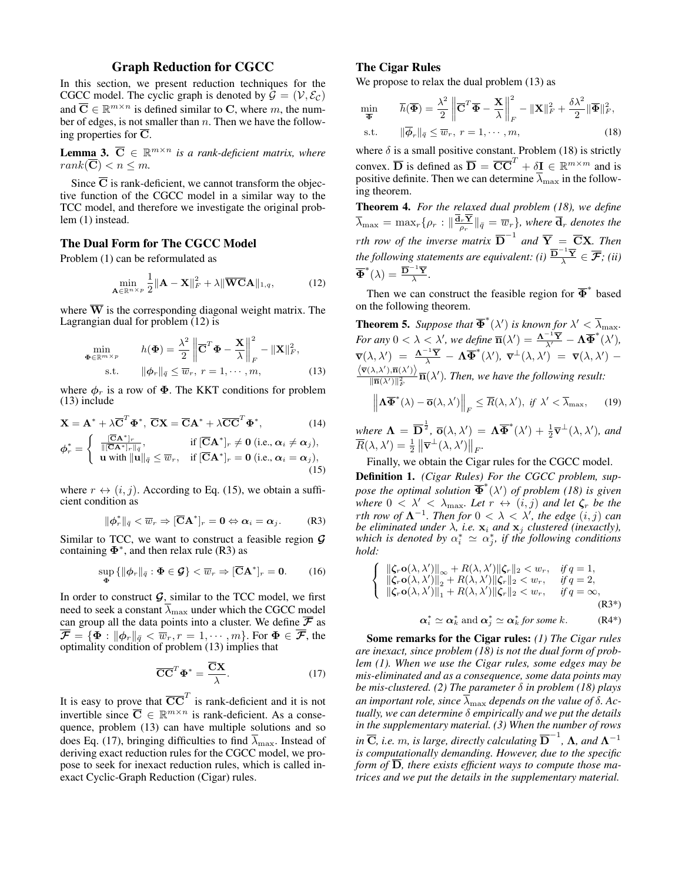#### Graph Reduction for CGCC

In this section, we present reduction techniques for the CGCC model. The cyclic graph is denoted by  $\mathcal{G} = (\mathcal{V}, \mathcal{E}_{\mathcal{C}})$ and  $\overline{C} \in \mathbb{R}^{m \times n}$  is defined similar to C, where m, the number of edges, is not smaller than  $n$ . Then we have the following properties for  $\overline{C}$ .

**Lemma 3.**  $\overline{C} \in \mathbb{R}^{m \times n}$  is a rank-deficient matrix, where  $rank(\overline{\mathbf{C}}) < n \leq m$ .

Since  $\overline{C}$  is rank-deficient, we cannot transform the objective function of the CGCC model in a similar way to the TCC model, and therefore we investigate the original problem (1) instead.

#### The Dual Form for The CGCC Model

Problem (1) can be reformulated as

$$
\min_{\mathbf{A}\in\mathbb{R}^{n\times p}}\frac{1}{2}\|\mathbf{A}-\mathbf{X}\|_{F}^{2}+\lambda\|\overline{\mathbf{WCA}}\|_{1,q},\tag{12}
$$

where  $\overline{W}$  is the corresponding diagonal weight matrix. The Lagrangian dual for problem  $(12)$  is

$$
\min_{\mathbf{\Phi} \in \mathbb{R}^{m \times p}} \qquad h(\mathbf{\Phi}) = \frac{\lambda^2}{2} \left\| \overline{\mathbf{C}}^T \mathbf{\Phi} - \frac{\mathbf{X}}{\lambda} \right\|_F^2 - \|\mathbf{X}\|_F^2,
$$
\n
$$
\text{s.t.} \qquad \|\phi_r\|_{\bar{q}} \le \overline{w}_r, \ r = 1, \cdots, m,
$$
\n
$$
(13)
$$

where  $\phi_r$  is a row of  $\Phi$ . The KKT conditions for problem (13) include

$$
\mathbf{X} = \mathbf{A}^* + \lambda \overline{\mathbf{C}}^T \mathbf{\Phi}^*, \ \overline{\mathbf{C}} \mathbf{X} = \overline{\mathbf{C}} \mathbf{A}^* + \lambda \overline{\mathbf{C}} \overline{\mathbf{C}}^T \mathbf{\Phi}^*, \tag{14}
$$

$$
\phi_r^* = \begin{cases} \frac{[\overline{C}A^*]_r}{\|[\overline{C}A^*]_r\|_{\overline{q}}}, & \text{if } [\overline{C}A^*]_r \neq 0 \text{ (i.e., } \alpha_i \neq \alpha_j), \\ \mathbf{u} \text{ with } \|\mathbf{u}\|_{\overline{q}} \leq \overline{w}_r, & \text{if } [\overline{C}A^*]_r = 0 \text{ (i.e., } \alpha_i = \alpha_j), \end{cases}
$$
\n(15)

where  $r \leftrightarrow (i, j)$ . According to Eq. (15), we obtain a sufficient condition as

$$
\|\phi_r^*\|_{\bar{q}} < \overline{w}_r \Rightarrow [\overline{\mathbf{C}}\mathbf{A}^*]_r = \mathbf{0} \Leftrightarrow \alpha_i = \alpha_j. \tag{R3}
$$

Similar to TCC, we want to construct a feasible region  $\mathcal G$ containing  $\Phi^*$ , and then relax rule (R3) as

$$
\sup_{\mathbf{\Phi}} \{ \|\boldsymbol{\phi}_r\|_{\bar{q}} : \mathbf{\Phi} \in \mathcal{G} \} < \overline{w}_r \Rightarrow [\overline{\mathbf{C}}\mathbf{A}^*]_r = \mathbf{0}.
$$
 (16)

In order to construct  $G$ , similar to the TCC model, we first need to seek a constant  $\overline{\lambda}_{\text{max}}$  under which the CGCC model can group all the data points into a cluster. We define  $\overline{\mathcal{F}}$  as  $\overline{\mathcal{F}} = \{ \Phi : \|\phi_r\|_{\bar{q}} < \overline{w}_r, r = 1, \cdots, m \}.$  For  $\Phi \in \overline{\mathcal{F}}$ , the optimality condition of problem (13) implies that

$$
\overline{\mathbf{CC}}^T \mathbf{\Phi}^* = \frac{\overline{\mathbf{C}} \mathbf{X}}{\lambda}.
$$
 (17)

It is easy to prove that  $\overline{CC}^T$  is rank-deficient and it is not invertible since  $\overline{C} \in \mathbb{R}^{m \times n}$  is rank-deficient. As a consequence, problem (13) can have multiple solutions and so does Eq. (17), bringing difficulties to find  $\overline{\lambda}_{\text{max}}$ . Instead of deriving exact reduction rules for the CGCC model, we propose to seek for inexact reduction rules, which is called inexact Cyclic-Graph Reduction (Cigar) rules.

#### The Cigar Rules

We propose to relax the dual problem  $(13)$  as

$$
\min_{\overline{\Phi}} \qquad \overline{h}(\overline{\Phi}) = \frac{\lambda^2}{2} \left\| \overline{\mathbf{C}}^T \overline{\Phi} - \frac{\mathbf{X}}{\lambda} \right\|_F^2 - \|\mathbf{X}\|_F^2 + \frac{\delta \lambda^2}{2} \|\overline{\Phi}\|_F^2,
$$
\n
$$
\text{s.t.} \qquad \|\overline{\phi}_r\|_{\overline{q}} \le \overline{w}_r, \ r = 1, \cdots, m,
$$
\n
$$
(18)
$$

where  $\delta$  is a small positive constant. Problem (18) is strictly convex.  $\overline{D}$  is defined as  $\overline{D} = \overline{CC}^T + \delta I \in \mathbb{R}^{m \times m}$  and is positive definite. Then we can determine  $\lambda_{\text{max}}$  in the following theorem.

Theorem 4. *For the relaxed dual problem (18), we define*  $\overline{\lambda}_{\max} = \max_r \{\rho_r : \|\frac{{\bf d}_r {\bf Y}}{\rho_r}\|_{\bar q} = \overline{w}_r\}$ , where  $\overline{{\bf d}}_r$  denotes the *rth row of the inverse matrix*  $\overline{D}^{-1}$  *and*  $\overline{Y} = \overline{C}X$ *. Then* the following statements are equivalent: (i)  $\frac{\overline{\mathbf{D}}^{-1} \overline{\mathbf{Y}}}{\lambda} \in \overline{\mathcal{F}}$ ; (ii)  $\overline{\mathbf{\Phi}}^*(\lambda) = \frac{\overline{\mathbf{D}}^{-1} \overline{\mathbf{Y}}}{\lambda}.$ 

Then we can construct the feasible region for  $\overline{\Phi}^*$  based on the following theorem.

**Theorem 5.** Suppose that  $\overline{\Phi}^*(\lambda')$  is known for  $\lambda' < \overline{\lambda}_{\max}$ . *For any*  $0 < \lambda < \lambda'$ , we define  $\overline{n}(\lambda') = \frac{\mathbf{\Lambda}^{-1}\overline{\mathbf{Y}}}{\lambda'} - \mathbf{\Lambda}\overline{\mathbf{\Phi}}^*(\lambda'),$  $\overline{\mathbf{v}}(\lambda,\lambda') \;=\; \frac{\mathbf{\Lambda}^{-1}\overline{\mathbf{Y}}}{\lambda} \,-\, \mathbf{\Lambda}\overline{\mathbf{\Phi}}^*(\lambda'), \; \overline{\mathbf{v}}^\perp(\lambda,\lambda') \;=\; \overline{\mathbf{v}}(\lambda,\lambda') \;-\;$  $\langle \overline{\mathbf{v}}(\lambda,\lambda'),\overline{\mathbf{n}}(\lambda')\rangle$  $\frac{\lambda(\lambda)}{\|\overline{\mathbf{n}}(\lambda')\|^2_F} \overline{\mathbf{n}}(\lambda')$ . Then, we have the following result:

$$
\left\| \mathbf{\Lambda} \overline{\mathbf{\Phi}}^*(\lambda) - \overline{\mathbf{o}}(\lambda, \lambda') \right\|_F \le \overline{R}(\lambda, \lambda'), \text{ if } \lambda' < \overline{\lambda}_{\max}, \qquad (19)
$$

where  $\mathbf{\Lambda} = \overline{\mathbf{D}}^{\frac{1}{2}}, \overline{\mathbf{o}}(\lambda, \lambda') = \mathbf{\Lambda} \overline{\mathbf{\Phi}}^*(\lambda') + \frac{1}{2} \overline{\mathbf{v}}^{\perp}(\lambda, \lambda'),$  and  $\overline{R}(\lambda, \lambda') = \frac{1}{2} \left\| \overline{\mathbf{v}}^{\perp}(\lambda, \lambda') \right\|_F.$ 

Finally, we obtain the Cigar rules for the CGCC model.

Definition 1. *(Cigar Rules) For the CGCC problem, suppose the optimal solution*  $\overline{\Phi}^*(\lambda')$  *of problem* (18) *is given where*  $0 < \lambda' < \lambda_{\text{max}}$ *. Let*  $r \leftrightarrow (i, j)$  *and let*  $\zeta_r$  *be the rth row of*  $\Lambda^{-1}$ *. Then for*  $0 < \lambda < \lambda'$ *, the edge*  $(i, j)$  *can be eliminated under*  $\lambda$ , *i.e.*  $\mathbf{x}_i$  *and*  $\mathbf{x}_j$  *clustered (inexactly),* which is denoted by  $\alpha_i^* \simeq \alpha_j^*$ , if the following conditions *hold:*

$$
\begin{cases}\n\|\zeta_r \mathbf{o}(\lambda, \lambda')\|_{\infty} + R(\lambda, \lambda') \|\zeta_r\|_2 < w_r, & \text{if } q = 1, \\
\|\zeta_r \mathbf{o}(\lambda, \lambda')\|_2 + R(\lambda, \lambda') \|\zeta_r\|_2 < w_r, & \text{if } q = 2, \\
\|\zeta_r \mathbf{o}(\lambda, \lambda')\|_1 + R(\lambda, \lambda') \|\zeta_r\|_2 < w_r, & \text{if } q = \infty, \\
\alpha_i^* \simeq \alpha_k^* \text{ and } \alpha_j^* \simeq \alpha_k^* \text{ for some } k.\n\end{cases}
$$
\n(R3\*)

Some remarks for the Cigar rules: *(1) The Cigar rules are inexact, since problem (18) is not the dual form of problem (1). When we use the Cigar rules, some edges may be mis-eliminated and as a consequence, some data points may be mis-clustered. (2) The parameter* δ *in problem (18) plays an important role, since*  $\overline{\lambda}_{\text{max}}$  *depends on the value of*  $\delta$ *. Actually, we can determine* δ *empirically and we put the details in the supplementary material. (3) When the number of rows*  $i$ *n*  $\overline{\mathbf{C}}$ *, i.e. m, is large, directly calculating*  $\overline{\mathbf{D}}^{-1}$ *,*  $\Lambda$ *, and*  $\Lambda^{-1}$ *is computationally demanding. However, due to the specific form of*  $\overline{D}$ *, there exists efficient ways to compute those matrices and we put the details in the supplementary material.*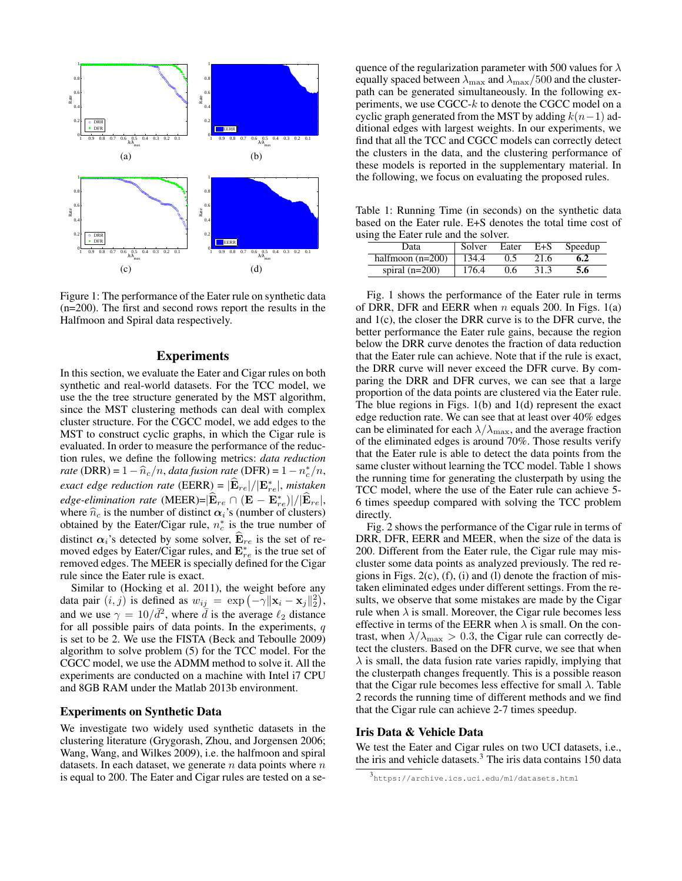

Figure 1: The performance of the Eater rule on synthetic data (n=200). The first and second rows report the results in the Halfmoon and Spiral data respectively.

### **Experiments**

In this section, we evaluate the Eater and Cigar rules on both synthetic and real-world datasets. For the TCC model, we use the the tree structure generated by the MST algorithm, since the MST clustering methods can deal with complex cluster structure. For the CGCC model, we add edges to the MST to construct cyclic graphs, in which the Cigar rule is evaluated. In order to measure the performance of the reduction rules, we define the following metrics: *data reduction rate* (DRR) =  $1 - \hat{n}_c/n$ , *data fusion rate* (DFR) =  $1 - n_c^*/n$ , *exact edge reduction rate* (EERR) =  $|\hat{\mathbf{E}}_{re}|/|\mathbf{E}_{re}^*|$ , *mistaken edge-elimination rate* (MEER)= $|\hat{\mathbf{E}}_{re} \cap (\mathbf{E} - \mathbf{E}_{re}^{*})|/|\hat{\mathbf{E}}_{re}|,$ where  $\hat{n}_c$  is the number of distinct  $\alpha_i$ 's (number of clusters) obtained by the Eater/Cigar rule,  $n_c^*$  is the true number of distinct  $\alpha_i$ 's detected by some solver,  $\mathbf{E}_{re}$  is the set of removed edges by Eater/Cigar rules, and  $\mathbf{E}_{re}^{*}$  is the true set of removed edges. The MEER is specially defined for the Cigar rule since the Eater rule is exact.

Similar to (Hocking et al. 2011), the weight before any data pair  $(i, j)$  is defined as  $w_{ij} = \exp(-\gamma ||\mathbf{x}_i - \mathbf{x}_j||_2^2)$ , and we use  $\gamma = 10/\bar{d}^2$ , where  $\bar{d}$  is the average  $\ell_2$  distance for all possible pairs of data points. In the experiments,  $q$ is set to be 2. We use the FISTA (Beck and Teboulle 2009) algorithm to solve problem (5) for the TCC model. For the CGCC model, we use the ADMM method to solve it. All the experiments are conducted on a machine with Intel i7 CPU and 8GB RAM under the Matlab 2013b environment.

#### Experiments on Synthetic Data

We investigate two widely used synthetic datasets in the clustering literature (Grygorash, Zhou, and Jorgensen 2006; Wang, Wang, and Wilkes 2009), i.e. the halfmoon and spiral datasets. In each dataset, we generate  $n$  data points where  $n$ is equal to 200. The Eater and Cigar rules are tested on a sequence of the regularization parameter with 500 values for  $\lambda$ equally spaced between  $\lambda_{\text{max}}$  and  $\lambda_{\text{max}}/500$  and the clusterpath can be generated simultaneously. In the following experiments, we use  $CGCC-k$  to denote the CGCC model on a cyclic graph generated from the MST by adding  $k(n-1)$  additional edges with largest weights. In our experiments, we find that all the TCC and CGCC models can correctly detect the clusters in the data, and the clustering performance of these models is reported in the supplementary material. In the following, we focus on evaluating the proposed rules.

Table 1: Running Time (in seconds) on the synthetic data based on the Eater rule. E+S denotes the total time cost of using the Eater rule and the solver.

| Data               | Solver | Eater | $E + S$ | Speedup |  |  |
|--------------------|--------|-------|---------|---------|--|--|
| halfmoon $(n=200)$ | 134.4  |       | 21.6    | 6.2     |  |  |
| spiral $(n=200)$   | 176.4  | 0.6   | 31.3    | 5.6     |  |  |

Fig. 1 shows the performance of the Eater rule in terms of DRR, DFR and EERR when *n* equals 200. In Figs. 1(a) and 1(c), the closer the DRR curve is to the DFR curve, the better performance the Eater rule gains, because the region below the DRR curve denotes the fraction of data reduction that the Eater rule can achieve. Note that if the rule is exact, the DRR curve will never exceed the DFR curve. By comparing the DRR and DFR curves, we can see that a large proportion of the data points are clustered via the Eater rule. The blue regions in Figs. 1(b) and 1(d) represent the exact edge reduction rate. We can see that at least over 40% edges can be eliminated for each  $\lambda/\lambda_{\text{max}}$ , and the average fraction of the eliminated edges is around 70%. Those results verify that the Eater rule is able to detect the data points from the same cluster without learning the TCC model. Table 1 shows the running time for generating the clusterpath by using the TCC model, where the use of the Eater rule can achieve 5- 6 times speedup compared with solving the TCC problem directly.

Fig. 2 shows the performance of the Cigar rule in terms of DRR, DFR, EERR and MEER, when the size of the data is 200. Different from the Eater rule, the Cigar rule may miscluster some data points as analyzed previously. The red regions in Figs.  $2(c)$ ,  $(f)$ ,  $(i)$  and  $(l)$  denote the fraction of mistaken eliminated edges under different settings. From the results, we observe that some mistakes are made by the Cigar rule when  $\lambda$  is small. Moreover, the Cigar rule becomes less effective in terms of the EERR when  $\lambda$  is small. On the contrast, when  $\lambda/\lambda_{\text{max}} > 0.3$ , the Cigar rule can correctly detect the clusters. Based on the DFR curve, we see that when  $\lambda$  is small, the data fusion rate varies rapidly, implying that the clusterpath changes frequently. This is a possible reason that the Cigar rule becomes less effective for small  $\lambda$ . Table 2 records the running time of different methods and we find that the Cigar rule can achieve 2-7 times speedup.

#### Iris Data & Vehicle Data

We test the Eater and Cigar rules on two UCI datasets, i.e., the iris and vehicle datasets.<sup>3</sup> The iris data contains 150 data

<sup>3</sup> https://archive.ics.uci.edu/ml/datasets.html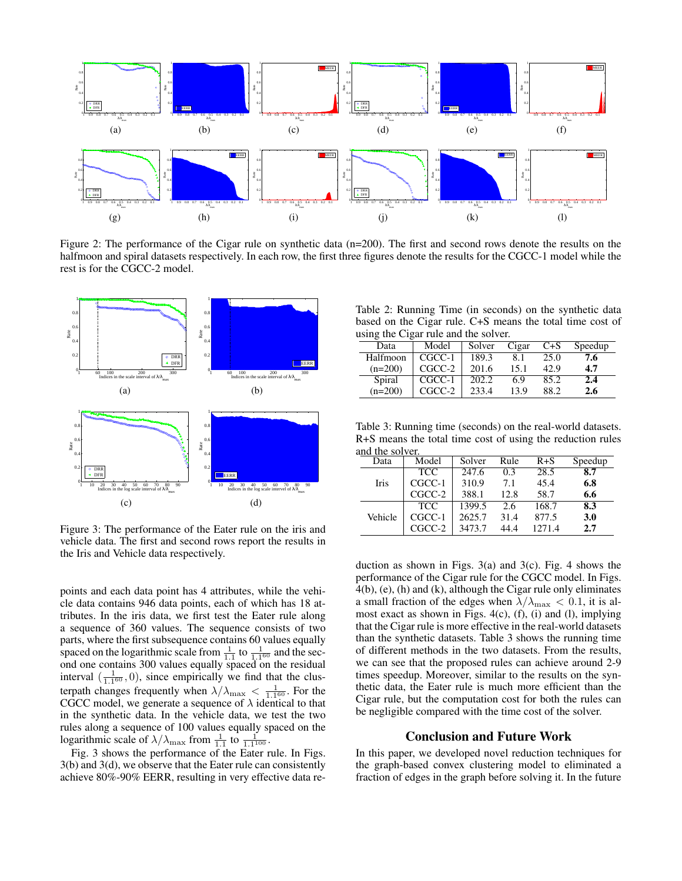

Figure 2: The performance of the Cigar rule on synthetic data (n=200). The first and second rows denote the results on the halfmoon and spiral datasets respectively. In each row, the first three figures denote the results for the CGCC-1 model while the rest is for the CGCC-2 model.



Figure 3: The performance of the Eater rule on the iris and vehicle data. The first and second rows report the results in the Iris and Vehicle data respectively.

points and each data point has 4 attributes, while the vehicle data contains 946 data points, each of which has 18 attributes. In the iris data, we first test the Eater rule along a sequence of 360 values. The sequence consists of two parts, where the first subsequence contains 60 values equally spaced on the logarithmic scale from  $\frac{1}{1.1}$  to  $\frac{1}{1.1}$  and the second one contains 300 values equally spaced on the residual interval  $(\frac{1}{1.1^{60}}, 0)$ , since empirically we find that the clusterpath changes frequently when  $\lambda/\lambda_{\max} < \frac{1}{1.1^{60}}$ . For the CGCC model, we generate a sequence of  $\lambda$  identical to that in the synthetic data. In the vehicle data, we test the two rules along a sequence of 100 values equally spaced on the logarithmic scale of  $\lambda/\lambda_{\text{max}}$  from  $\frac{1}{1.1}$  to  $\frac{1}{1.1^{100}}$ .

Fig. 3 shows the performance of the Eater rule. In Figs. 3(b) and 3(d), we observe that the Eater rule can consistently achieve 80%-90% EERR, resulting in very effective data re-

Table 2: Running Time (in seconds) on the synthetic data based on the Cigar rule. C+S means the total time cost of using the Cigar rule and the solver.

| Data      | Model    | Solver | Cigar | $C + S$ | Speedup |
|-----------|----------|--------|-------|---------|---------|
| Halfmoon  | $CGCC-1$ | 189.3  | 8.1   | 25.0    | 7.6     |
| $(n=200)$ | $CGCC-2$ | 201.6  | 15.1  | 42.9    | 4.7     |
| Spiral    | $CGCC-1$ | 202.2  | 6.9   | 85.2    | 2.4     |
| $(n=200)$ | CGCC-2   | 233.4  | 13.9  | 88.2    | 2.6     |

Table 3: Running time (seconds) on the real-world datasets. R+S means the total time cost of using the reduction rules and the solver.

| Data    | Model      | Solver | Rule | $R + S$ | Speedup          |
|---------|------------|--------|------|---------|------------------|
|         | <b>TCC</b> | 247.6  | 0.3  | 28.5    | $\overline{8.7}$ |
| Iris    | CGCC-1     | 310.9  | 7.1  | 45.4    | 6.8              |
|         | $CGCC-2$   | 388.1  | 12.8 | 58.7    | 6.6              |
|         | <b>TCC</b> | 1399.5 | 2.6  | 168.7   | 8.3              |
| Vehicle | $CGCC-1$   | 2625.7 | 31.4 | 877.5   | 3.0              |
|         | $CGCC-2$   | 3473.7 | 44.4 | 1271.4  | 2.7              |

duction as shown in Figs.  $3(a)$  and  $3(c)$ . Fig. 4 shows the performance of the Cigar rule for the CGCC model. In Figs. 4(b), (e), (h) and (k), although the Cigar rule only eliminates a small fraction of the edges when  $\lambda/\lambda_{\text{max}} < 0.1$ , it is almost exact as shown in Figs. 4(c), (f), (i) and (l), implying that the Cigar rule is more effective in the real-world datasets than the synthetic datasets. Table 3 shows the running time of different methods in the two datasets. From the results, we can see that the proposed rules can achieve around 2-9 times speedup. Moreover, similar to the results on the synthetic data, the Eater rule is much more efficient than the Cigar rule, but the computation cost for both the rules can be negligible compared with the time cost of the solver.

#### Conclusion and Future Work

In this paper, we developed novel reduction techniques for the graph-based convex clustering model to eliminated a fraction of edges in the graph before solving it. In the future